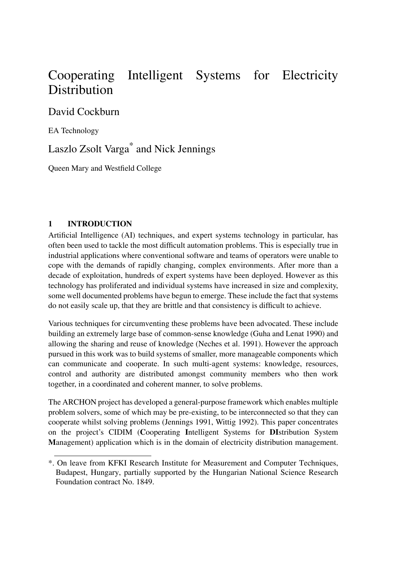# Cooperating Intelligent Systems for Electricity **Distribution**

David Cockburn

EA Technology

Laszlo Zsolt Varga\* and Nick Jennings

Queen Mary and Westfield College

#### **1 INTRODUCTION**

Artificial Intelligence (AI) techniques, and expert systems technology in particular, has often been used to tackle the most difficult automation problems. This is especially true in industrial applications where conventional software and teams of operators were unable to cope with the demands of rapidly changing, complex environments. After more than a decade of exploitation, hundreds of expert systems have been deployed. However as this technology has proliferated and individual systems have increased in size and complexity, some well documented problems have begun to emerge. These include the fact that systems do not easily scale up, that they are brittle and that consistency is difficult to achieve.

Various techniques for circumventing these problems have been advocated. These include building an extremely large base of common-sense knowledge (Guha and Lenat 1990) and allowing the sharing and reuse of knowledge (Neches et al. 1991). However the approach pursued in this work was to build systems of smaller, more manageable components which can communicate and cooperate. In such multi-agent systems: knowledge, resources, control and authority are distributed amongst community members who then work together, in a coordinated and coherent manner, to solve problems.

The ARCHON project has developed a general-purpose framework which enables multiple problem solvers, some of which may be pre-existing, to be interconnected so that they can cooperate whilst solving problems (Jennings 1991, Wittig 1992). This paper concentrates on the project's CIDIM (**C**ooperating **I**ntelligent Systems for **DI**stribution System **M**anagement) application which is in the domain of electricity distribution management.

<sup>\*.</sup> On leave from KFKI Research Institute for Measurement and Computer Techniques, Budapest, Hungary, partially supported by the Hungarian National Science Research Foundation contract No. 1849.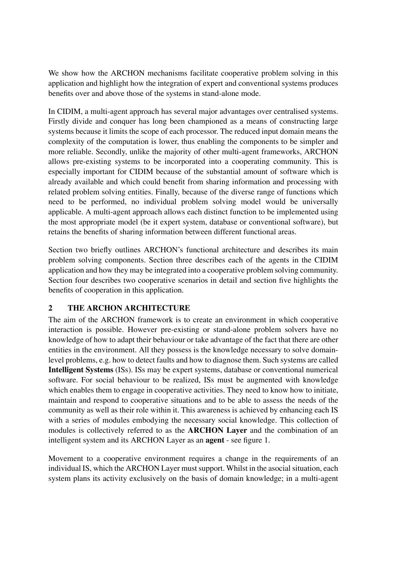We show how the ARCHON mechanisms facilitate cooperative problem solving in this application and highlight how the integration of expert and conventional systems produces benefits over and above those of the systems in stand-alone mode.

In CIDIM, a multi-agent approach has several major advantages over centralised systems. Firstly divide and conquer has long been championed as a means of constructing large systems because it limits the scope of each processor. The reduced input domain means the complexity of the computation is lower, thus enabling the components to be simpler and more reliable. Secondly, unlike the majority of other multi-agent frameworks, ARCHON allows pre-existing systems to be incorporated into a cooperating community. This is especially important for CIDIM because of the substantial amount of software which is already available and which could benefit from sharing information and processing with related problem solving entities. Finally, because of the diverse range of functions which need to be performed, no individual problem solving model would be universally applicable. A multi-agent approach allows each distinct function to be implemented using the most appropriate model (be it expert system, database or conventional software), but retains the benefits of sharing information between different functional areas.

Section two briefly outlines ARCHON's functional architecture and describes its main problem solving components. Section three describes each of the agents in the CIDIM application and how they may be integrated into a cooperative problem solving community. Section four describes two cooperative scenarios in detail and section five highlights the benefits of cooperation in this application.

#### **2 THE ARCHON ARCHITECTURE**

The aim of the ARCHON framework is to create an environment in which cooperative interaction is possible. However pre-existing or stand-alone problem solvers have no knowledge of how to adapt their behaviour or take advantage of the fact that there are other entities in the environment. All they possess is the knowledge necessary to solve domainlevel problems, e.g. how to detect faults and how to diagnose them. Such systems are called **Intelligent Systems** (ISs). ISs may be expert systems, database or conventional numerical software. For social behaviour to be realized, ISs must be augmented with knowledge which enables them to engage in cooperative activities. They need to know how to initiate, maintain and respond to cooperative situations and to be able to assess the needs of the community as well as their role within it. This awareness is achieved by enhancing each IS with a series of modules embodying the necessary social knowledge. This collection of modules is collectively referred to as the **ARCHON Layer** and the combination of an intelligent system and its ARCHON Layer as an **agent** - see figure 1.

Movement to a cooperative environment requires a change in the requirements of an individual IS, which the ARCHON Layer must support. Whilst in the asocial situation, each system plans its activity exclusively on the basis of domain knowledge; in a multi-agent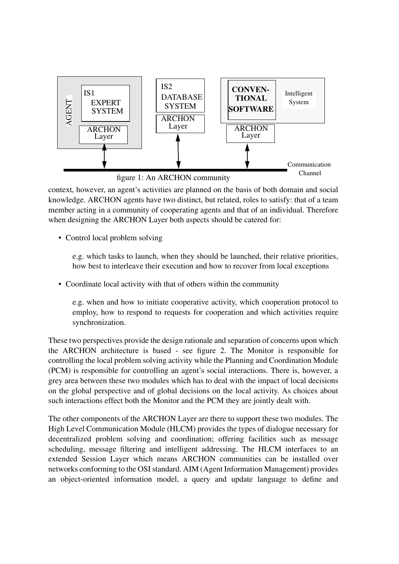

context, however, an agent's activities are planned on the basis of both domain and social knowledge. ARCHON agents have two distinct, but related, roles to satisfy: that of a team member acting in a community of cooperating agents and that of an individual. Therefore when designing the ARCHON Layer both aspects should be catered for:

• Control local problem solving

e.g. which tasks to launch, when they should be launched, their relative priorities, how best to interleave their execution and how to recover from local exceptions

• Coordinate local activity with that of others within the community

e.g. when and how to initiate cooperative activity, which cooperation protocol to employ, how to respond to requests for cooperation and which activities require synchronization.

These two perspectives provide the design rationale and separation of concerns upon which the ARCHON architecture is based - see figure 2. The Monitor is responsible for controlling the local problem solving activity while the Planning and Coordination Module (PCM) is responsible for controlling an agent's social interactions. There is, however, a grey area between these two modules which has to deal with the impact of local decisions on the global perspective and of global decisions on the local activity. As choices about such interactions effect both the Monitor and the PCM they are jointly dealt with.

The other components of the ARCHON Layer are there to support these two modules. The High Level Communication Module (HLCM) provides the types of dialogue necessary for decentralized problem solving and coordination; offering facilities such as message scheduling, message filtering and intelligent addressing. The HLCM interfaces to an extended Session Layer which means ARCHON communities can be installed over networks conforming to the OSI standard. AIM (Agent Information Management) provides an object-oriented information model, a query and update language to define and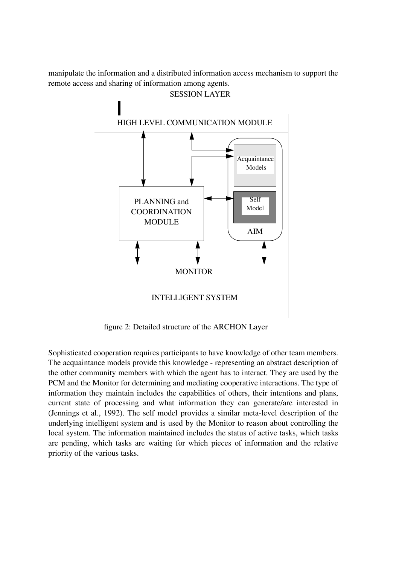manipulate the information and a distributed information access mechanism to support the remote access and sharing of information among agents.



figure 2: Detailed structure of the ARCHON Layer

Sophisticated cooperation requires participants to have knowledge of other team members. The acquaintance models provide this knowledge - representing an abstract description of the other community members with which the agent has to interact. They are used by the PCM and the Monitor for determining and mediating cooperative interactions. The type of information they maintain includes the capabilities of others, their intentions and plans, current state of processing and what information they can generate/are interested in (Jennings et al., 1992). The self model provides a similar meta-level description of the underlying intelligent system and is used by the Monitor to reason about controlling the local system. The information maintained includes the status of active tasks, which tasks are pending, which tasks are waiting for which pieces of information and the relative priority of the various tasks.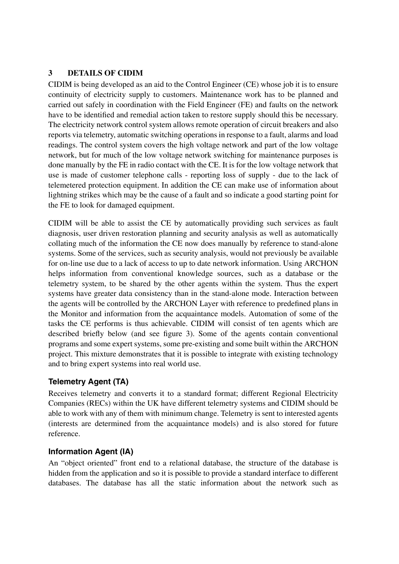#### **3 DETAILS OF CIDIM**

CIDIM is being developed as an aid to the Control Engineer (CE) whose job it is to ensure continuity of electricity supply to customers. Maintenance work has to be planned and carried out safely in coordination with the Field Engineer (FE) and faults on the network have to be identified and remedial action taken to restore supply should this be necessary. The electricity network control system allows remote operation of circuit breakers and also reports via telemetry, automatic switching operations in response to a fault, alarms and load readings. The control system covers the high voltage network and part of the low voltage network, but for much of the low voltage network switching for maintenance purposes is done manually by the FE in radio contact with the CE. It is for the low voltage network that use is made of customer telephone calls - reporting loss of supply - due to the lack of telemetered protection equipment. In addition the CE can make use of information about lightning strikes which may be the cause of a fault and so indicate a good starting point for the FE to look for damaged equipment.

CIDIM will be able to assist the CE by automatically providing such services as fault diagnosis, user driven restoration planning and security analysis as well as automatically collating much of the information the CE now does manually by reference to stand-alone systems. Some of the services, such as security analysis, would not previously be available for on-line use due to a lack of access to up to date network information. Using ARCHON helps information from conventional knowledge sources, such as a database or the telemetry system, to be shared by the other agents within the system. Thus the expert systems have greater data consistency than in the stand-alone mode. Interaction between the agents will be controlled by the ARCHON Layer with reference to predefined plans in the Monitor and information from the acquaintance models. Automation of some of the tasks the CE performs is thus achievable. CIDIM will consist of ten agents which are described briefly below (and see figure 3). Some of the agents contain conventional programs and some expert systems, some pre-existing and some built within the ARCHON project. This mixture demonstrates that it is possible to integrate with existing technology and to bring expert systems into real world use.

# **Telemetry Agent (TA)**

Receives telemetry and converts it to a standard format; different Regional Electricity Companies (RECs) within the UK have different telemetry systems and CIDIM should be able to work with any of them with minimum change. Telemetry is sent to interested agents (interests are determined from the acquaintance models) and is also stored for future reference.

### **Information Agent (IA)**

An "object oriented" front end to a relational database, the structure of the database is hidden from the application and so it is possible to provide a standard interface to different databases. The database has all the static information about the network such as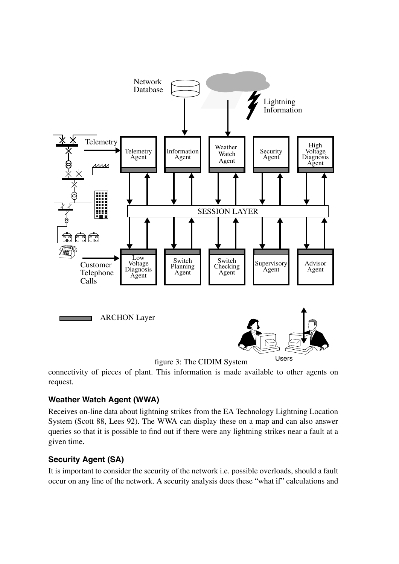

connectivity of pieces of plant. This information is made available to other agents on request.

# **Weather Watch Agent (WWA)**

Receives on-line data about lightning strikes from the EA Technology Lightning Location System (Scott 88, Lees 92). The WWA can display these on a map and can also answer queries so that it is possible to find out if there were any lightning strikes near a fault at a given time.

# **Security Agent (SA)**

It is important to consider the security of the network i.e. possible overloads, should a fault occur on any line of the network. A security analysis does these "what if" calculations and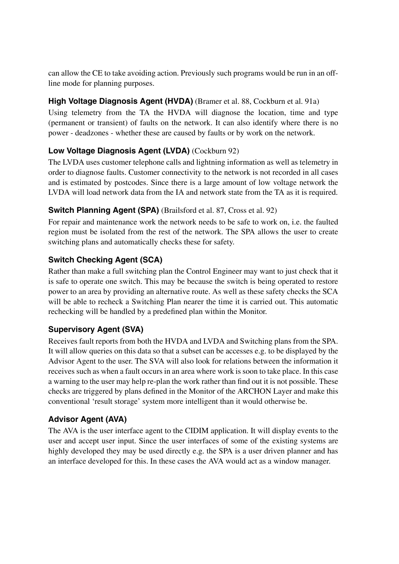can allow the CE to take avoiding action. Previously such programs would be run in an offline mode for planning purposes.

### **High Voltage Diagnosis Agent (HVDA)** (Bramer et al. 88, Cockburn et al. 91a)

Using telemetry from the TA the HVDA will diagnose the location, time and type (permanent or transient) of faults on the network. It can also identify where there is no power - deadzones - whether these are caused by faults or by work on the network.

# **Low Voltage Diagnosis Agent (LVDA)** (Cockburn 92)

The LVDA uses customer telephone calls and lightning information as well as telemetry in order to diagnose faults. Customer connectivity to the network is not recorded in all cases and is estimated by postcodes. Since there is a large amount of low voltage network the LVDA will load network data from the IA and network state from the TA as it is required.

### **Switch Planning Agent (SPA)** (Brailsford et al. 87, Cross et al. 92)

For repair and maintenance work the network needs to be safe to work on, i.e. the faulted region must be isolated from the rest of the network. The SPA allows the user to create switching plans and automatically checks these for safety.

# **Switch Checking Agent (SCA)**

Rather than make a full switching plan the Control Engineer may want to just check that it is safe to operate one switch. This may be because the switch is being operated to restore power to an area by providing an alternative route. As well as these safety checks the SCA will be able to recheck a Switching Plan nearer the time it is carried out. This automatic rechecking will be handled by a predefined plan within the Monitor.

### **Supervisory Agent (SVA)**

Receives fault reports from both the HVDA and LVDA and Switching plans from the SPA. It will allow queries on this data so that a subset can be accesses e.g. to be displayed by the Advisor Agent to the user. The SVA will also look for relations between the information it receives such as when a fault occurs in an area where work is soon to take place. In this case a warning to the user may help re-plan the work rather than find out it is not possible. These checks are triggered by plans defined in the Monitor of the ARCHON Layer and make this conventional 'result storage' system more intelligent than it would otherwise be.

### **Advisor Agent (AVA)**

The AVA is the user interface agent to the CIDIM application. It will display events to the user and accept user input. Since the user interfaces of some of the existing systems are highly developed they may be used directly e.g. the SPA is a user driven planner and has an interface developed for this. In these cases the AVA would act as a window manager.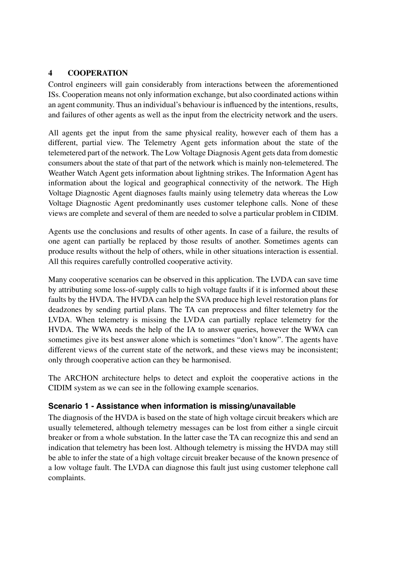#### **4 COOPERATION**

Control engineers will gain considerably from interactions between the aforementioned ISs. Cooperation means not only information exchange, but also coordinated actions within an agent community. Thus an individual's behaviour is influenced by the intentions, results, and failures of other agents as well as the input from the electricity network and the users.

All agents get the input from the same physical reality, however each of them has a different, partial view. The Telemetry Agent gets information about the state of the telemetered part of the network. The Low Voltage Diagnosis Agent gets data from domestic consumers about the state of that part of the network which is mainly non-telemetered. The Weather Watch Agent gets information about lightning strikes. The Information Agent has information about the logical and geographical connectivity of the network. The High Voltage Diagnostic Agent diagnoses faults mainly using telemetry data whereas the Low Voltage Diagnostic Agent predominantly uses customer telephone calls. None of these views are complete and several of them are needed to solve a particular problem in CIDIM.

Agents use the conclusions and results of other agents. In case of a failure, the results of one agent can partially be replaced by those results of another. Sometimes agents can produce results without the help of others, while in other situations interaction is essential. All this requires carefully controlled cooperative activity.

Many cooperative scenarios can be observed in this application. The LVDA can save time by attributing some loss-of-supply calls to high voltage faults if it is informed about these faults by the HVDA. The HVDA can help the SVA produce high level restoration plans for deadzones by sending partial plans. The TA can preprocess and filter telemetry for the LVDA. When telemetry is missing the LVDA can partially replace telemetry for the HVDA. The WWA needs the help of the IA to answer queries, however the WWA can sometimes give its best answer alone which is sometimes "don't know". The agents have different views of the current state of the network, and these views may be inconsistent; only through cooperative action can they be harmonised.

The ARCHON architecture helps to detect and exploit the cooperative actions in the CIDIM system as we can see in the following example scenarios.

### **Scenario 1 - Assistance when information is missing/unavailable**

The diagnosis of the HVDA is based on the state of high voltage circuit breakers which are usually telemetered, although telemetry messages can be lost from either a single circuit breaker or from a whole substation. In the latter case the TA can recognize this and send an indication that telemetry has been lost. Although telemetry is missing the HVDA may still be able to infer the state of a high voltage circuit breaker because of the known presence of a low voltage fault. The LVDA can diagnose this fault just using customer telephone call complaints.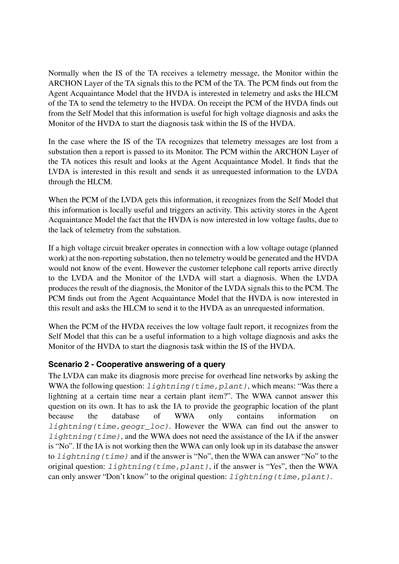Normally when the IS of the TA receives a telemetry message, the Monitor within the ARCHON Layer of the TA signals this to the PCM of the TA. The PCM finds out from the Agent Acquaintance Model that the HVDA is interested in telemetry and asks the HLCM of the TA to send the telemetry to the HVDA. On receipt the PCM of the HVDA finds out from the Self Model that this information is useful for high voltage diagnosis and asks the Monitor of the HVDA to start the diagnosis task within the IS of the HVDA.

In the case where the IS of the TA recognizes that telemetry messages are lost from a substation then a report is passed to its Monitor. The PCM within the ARCHON Layer of the TA notices this result and looks at the Agent Acquaintance Model. It finds that the LVDA is interested in this result and sends it as unrequested information to the LVDA through the HLCM.

When the PCM of the LVDA gets this information, it recognizes from the Self Model that this information is locally useful and triggers an activity. This activity stores in the Agent Acquaintance Model the fact that the HVDA is now interested in low voltage faults, due to the lack of telemetry from the substation.

If a high voltage circuit breaker operates in connection with a low voltage outage (planned work) at the non-reporting substation, then no telemetry would be generated and the HVDA would not know of the event. However the customer telephone call reports arrive directly to the LVDA and the Monitor of the LVDA will start a diagnosis. When the LVDA produces the result of the diagnosis, the Monitor of the LVDA signals this to the PCM. The PCM finds out from the Agent Acquaintance Model that the HVDA is now interested in this result and asks the HLCM to send it to the HVDA as an unrequested information.

When the PCM of the HVDA receives the low voltage fault report, it recognizes from the Self Model that this can be a useful information to a high voltage diagnosis and asks the Monitor of the HVDA to start the diagnosis task within the IS of the HVDA.

#### **Scenario 2 - Cooperative answering of a query**

The LVDA can make its diagnosis more precise for overhead line networks by asking the WWA the following question: *lightning(time,plant)*, which means: "Was there a lightning at a certain time near a certain plant item?". The WWA cannot answer this question on its own. It has to ask the IA to provide the geographic location of the plant because the database of WWA only contains information on *lightning(time,geogr\_loc)*. However the WWA can find out the answer to *lightning (time)*, and the WWA does not need the assistance of the IA if the answer is "No". If the IA is not working then the WWA can only look up in its database the answer to *lightning(time)* and if the answer is "No", then the WWA can answer "No" to the original question: *lightning(time,plant)*, if the answer is "Yes", then the WWA can only answer "Don't know" to the original question: *lightning(time,plant)*.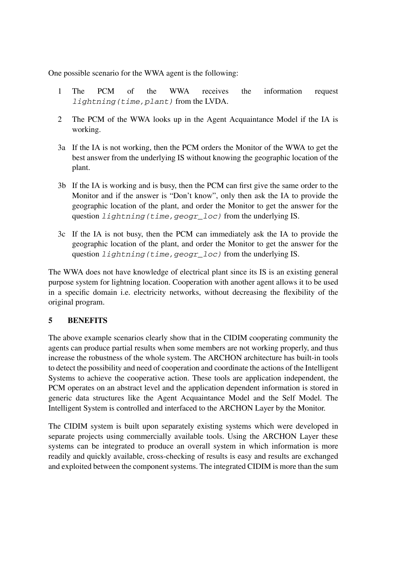One possible scenario for the WWA agent is the following:

- 1 The PCM of the WWA receives the information request *lightning(time,plant)* from the LVDA.
- 2 The PCM of the WWA looks up in the Agent Acquaintance Model if the IA is working.
- 3a If the IA is not working, then the PCM orders the Monitor of the WWA to get the best answer from the underlying IS without knowing the geographic location of the plant.
- 3b If the IA is working and is busy, then the PCM can first give the same order to the Monitor and if the answer is "Don't know", only then ask the IA to provide the geographic location of the plant, and order the Monitor to get the answer for the question *lightning(time,geogr\_loc)* from the underlying IS.
- 3c If the IA is not busy, then the PCM can immediately ask the IA to provide the geographic location of the plant, and order the Monitor to get the answer for the question *lightning(time,geogr\_loc)* from the underlying IS.

The WWA does not have knowledge of electrical plant since its IS is an existing general purpose system for lightning location. Cooperation with another agent allows it to be used in a specific domain i.e. electricity networks, without decreasing the flexibility of the original program.

### **5 BENEFITS**

The above example scenarios clearly show that in the CIDIM cooperating community the agents can produce partial results when some members are not working properly, and thus increase the robustness of the whole system. The ARCHON architecture has built-in tools to detect the possibility and need of cooperation and coordinate the actions of the Intelligent Systems to achieve the cooperative action. These tools are application independent, the PCM operates on an abstract level and the application dependent information is stored in generic data structures like the Agent Acquaintance Model and the Self Model. The Intelligent System is controlled and interfaced to the ARCHON Layer by the Monitor.

The CIDIM system is built upon separately existing systems which were developed in separate projects using commercially available tools. Using the ARCHON Layer these systems can be integrated to produce an overall system in which information is more readily and quickly available, cross-checking of results is easy and results are exchanged and exploited between the component systems. The integrated CIDIM is more than the sum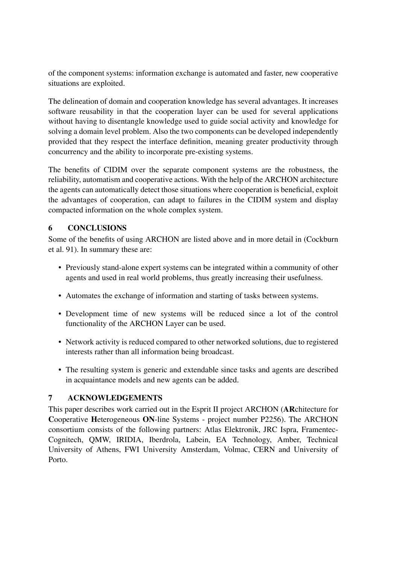of the component systems: information exchange is automated and faster, new cooperative situations are exploited.

The delineation of domain and cooperation knowledge has several advantages. It increases software reusability in that the cooperation layer can be used for several applications without having to disentangle knowledge used to guide social activity and knowledge for solving a domain level problem. Also the two components can be developed independently provided that they respect the interface definition, meaning greater productivity through concurrency and the ability to incorporate pre-existing systems.

The benefits of CIDIM over the separate component systems are the robustness, the reliability, automatism and cooperative actions. With the help of the ARCHON architecture the agents can automatically detect those situations where cooperation is beneficial, exploit the advantages of cooperation, can adapt to failures in the CIDIM system and display compacted information on the whole complex system.

### **6 CONCLUSIONS**

Some of the benefits of using ARCHON are listed above and in more detail in (Cockburn et al. 91). In summary these are:

- Previously stand-alone expert systems can be integrated within a community of other agents and used in real world problems, thus greatly increasing their usefulness.
- Automates the exchange of information and starting of tasks between systems.
- Development time of new systems will be reduced since a lot of the control functionality of the ARCHON Layer can be used.
- Network activity is reduced compared to other networked solutions, due to registered interests rather than all information being broadcast.
- The resulting system is generic and extendable since tasks and agents are described in acquaintance models and new agents can be added.

### **7 ACKNOWLEDGEMENTS**

This paper describes work carried out in the Esprit II project ARCHON (**AR**chitecture for **C**ooperative **H**eterogeneous **ON**-line Systems - project number P2256). The ARCHON consortium consists of the following partners: Atlas Elektronik, JRC Ispra, Framentec-Cognitech, QMW, IRIDIA, Iberdrola, Labein, EA Technology, Amber, Technical University of Athens, FWI University Amsterdam, Volmac, CERN and University of Porto.